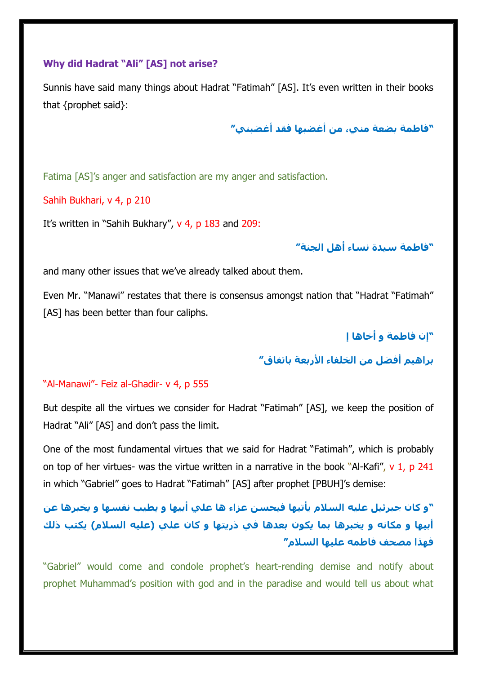### **Why did Hadrat "Ali" [AS] not arise?**

Sunnis have said many things about Hadrat "Fatimah" [AS]. It's even written in their books that {prophet said}:

**"فاطمة بضعة مني، من أغضبها فقد أغضبني"**

Fatima [AS]'s anger and satisfaction are my anger and satisfaction.

### Sahih Bukhari, v 4, p 210

It's written in "Sahih Bukhary", v 4, p 183 and 209:

**"فاطمة سيدة نساء أهل الجنة"**

and many other issues that we've already talked about them.

Even Mr. "Manawi" restates that there is consensus amongst nation that "Hadrat "Fatimah" [AS] has been better than four caliphs.

**"إن فاطمة و أخاها إ**

**براهيم أفضل من الخلفاء األربعة باتفاق"**

### "Al-Manawi"- Feiz al-Ghadir- v 4, p 555

But despite all the virtues we consider for Hadrat "Fatimah" [AS], we keep the position of Hadrat "Ali" [AS] and don't pass the limit.

One of the most fundamental virtues that we said for Hadrat "Fatimah", which is probably on top of her virtues- was the virtue written in a narrative in the book "Al-Kafi",  $v$  1, p 241 in which "Gabriel" goes to Hadrat "Fatimah" [AS] after prophet [PBUH]'s demise:

**"و كان جبرئيل عليه السالم يأتيها فيحسن عزاء ها علي أبيها و يطيب نفسها و يخبرها عن أبيها و مكانه و يخبرها بما يكون بعدها في ذريتها و كان علي )عليه السالم( يكتب ذلك فهذا مصحف فاطمه عليها السالم"**

"Gabriel" would come and condole prophet's heart-rending demise and notify about prophet Muhammad's position with god and in the paradise and would tell us about what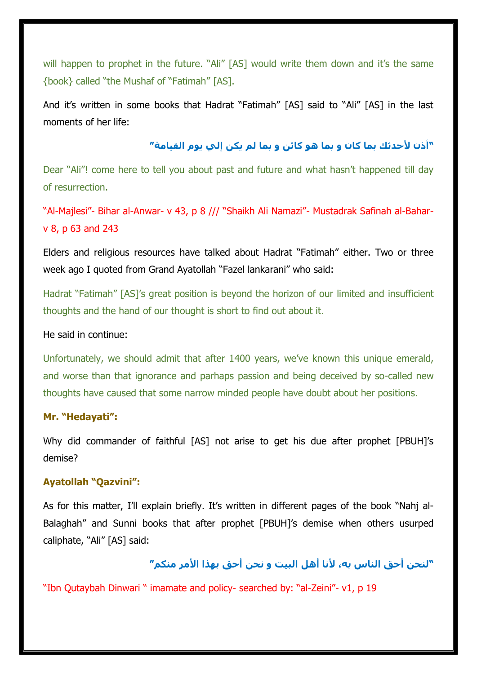will happen to prophet in the future. "Ali" [AS] would write them down and it's the same {book} called "the Mushaf of "Fatimah" [AS].

And it's written in some books that Hadrat "Fatimah" [AS] said to "Ali" [AS] in the last moments of her life:

## **"أذن ألحدثك بما كان و بما هو كائن و بما لم يكن إلي يوم القيامة"**

Dear "Ali"! come here to tell you about past and future and what hasn't happened till day of resurrection.

"Al-Majlesi"- Bihar al-Anwar- v 43, p 8 /// "Shaikh Ali Namazi"- Mustadrak Safinah al-Baharv 8, p 63 and 243

Elders and religious resources have talked about Hadrat "Fatimah" either. Two or three week ago I quoted from Grand Ayatollah "Fazel lankarani" who said:

Hadrat "Fatimah" [AS]'s great position is beyond the horizon of our limited and insufficient thoughts and the hand of our thought is short to find out about it.

#### He said in continue:

Unfortunately, we should admit that after 1400 years, we've known this unique emerald, and worse than that ignorance and parhaps passion and being deceived by so-called new thoughts have caused that some narrow minded people have doubt about her positions.

### **Mr. "Hedayati":**

Why did commander of faithful [AS] not arise to get his due after prophet [PBUH]'s demise?

#### **Ayatollah "Qazvini":**

As for this matter, I'll explain briefly. It's written in different pages of the book "Nahj al-Balaghah" and Sunni books that after prophet [PBUH]'s demise when others usurped caliphate, "Ali" [AS] said:

## **"لنحن أحق الناس به، ألنا أهل البيت و نحن أحق بهذا األمر منكم"**

"Ibn Qutaybah Dinwari " imamate and policy- searched by: "al-Zeini"- v1, p 19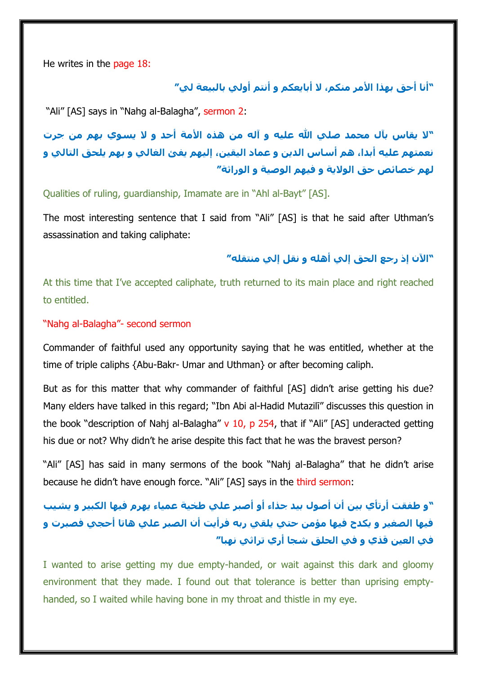He writes in the page 18:

**"أنا أحق بهذا األمر منكم، ال أبايعكم و أنتم أولي بالبيعة لي"**

"Ali" [AS] says in "Nahg al-Balagha", sermon 2:

**"ال يقاس بآل محمد صلي هللا عليه و آله من هذه األمة أحد و ال يسوي بهم من جرت نعمتهم عليه أبدا، هم أساس الدين و عماد اليقين، إليهم يفئ الغالي و بهم يلحق التالي و لهم خصائص حق الوالية و فيهم الوصية و الوراثة"**

Qualities of ruling, guardianship, Imamate are in "Ahl al-Bayt" [AS].

The most interesting sentence that I said from "Ali" [AS] is that he said after Uthman's assassination and taking caliphate:

## **"اآلن إذ رجع الحق إلي أهله و نقل إلي منتقله"**

At this time that I've accepted caliphate, truth returned to its main place and right reached to entitled.

#### "Nahg al-Balagha"- second sermon

Commander of faithful used any opportunity saying that he was entitled, whether at the time of triple caliphs {Abu-Bakr- Umar and Uthman} or after becoming caliph.

But as for this matter that why commander of faithful [AS] didn't arise getting his due? Many elders have talked in this regard; "Ibn Abi al-Hadid Mutazilī" discusses this question in the book "description of Nahj al-Balagha"  $v$  10, p 254, that if "Ali" [AS] underacted getting his due or not? Why didn't he arise despite this fact that he was the bravest person?

"Ali" [AS] has said in many sermons of the book "Nahj al-Balagha" that he didn't arise because he didn't have enough force. "Ali" [AS] says in the third sermon:

**"و طفقت أرتأي بين أن أصول بيد جذاء أو أصبر علي طخية عمياء يهرم فيها الكبير و يشيب فيها الصغير و يكدح فيها مؤمن حتي يلقي ربه فرأيت أن الصبر علي هاتا أحجي فصبرت و في العين قذي و في الحلق شجا أري تراثي نهبا"**

I wanted to arise getting my due empty-handed, or wait against this dark and gloomy environment that they made. I found out that tolerance is better than uprising emptyhanded, so I waited while having bone in my throat and thistle in my eye.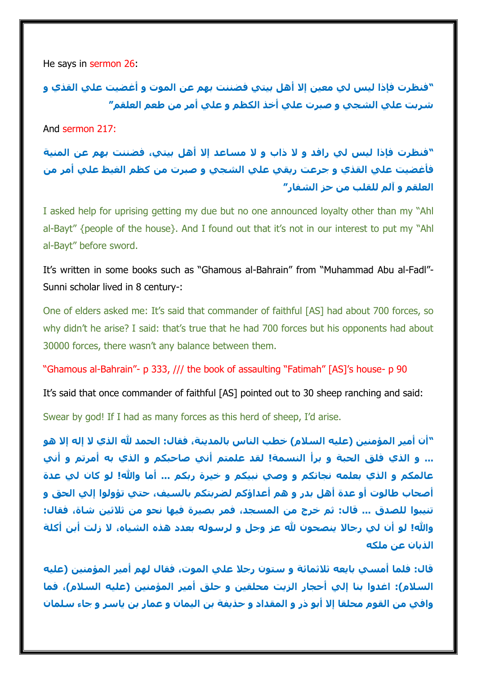He says in sermon 26:

**"فنظرت فإذا ليس لي معين إال أهل بيتي فضننت بهم عن الموت و أغضيت علي القذي و شربت علي الشجي و صبرت علي أخذ الكظم و علي أمر من طعم العلقم"**

And sermon 217:

**"فنظرت فإذا ليس لي رافد و ال ذاب و ال مساعد إال أهل بيتي، فضننت بهم عن المنية فأغضيت علي القذي و جرعت ريقي علي الشجي و صبرت من كظم الغيظ علي أمر من العلقم و آلم للقلب من حز الشفار"**

I asked help for uprising getting my due but no one announced loyalty other than my "Ahl al-Bayt" {people of the house}. And I found out that it's not in our interest to put my "Ahl al-Bayt" before sword.

It's written in some books such as "Ghamous al-Bahrain" from "Muhammad Abu al-Fadl"- Sunni scholar lived in 8 century-:

One of elders asked me: It's said that commander of faithful [AS] had about 700 forces, so why didn't he arise? I said: that's true that he had 700 forces but his opponents had about 30000 forces, there wasn't any balance between them.

"Ghamous al-Bahrain"- p 333, /// the book of assaulting "Fatimah" [AS]'s house- p 90

It's said that once commander of faithful [AS] pointed out to 30 sheep ranching and said:

Swear by god! If I had as many forces as this herd of sheep, I'd arise.

**"أن أمير المؤمنين )عليه السالم( خطب الناس بالمدينة، فقال: الحمد هلل الذي ال إله إال هو ... و الذي فلق الحبة و برأ النسمة! لقد علمتم أني صاحبكم و الذي به أمرتم و أني عالمكم و الذي بعلمه نجاتكم و وصي نبيكم و خيرة ربكم ... أما وهللا! لو كان لي عدة أصحاب طالوت أو عدة أهل بدر و هم أعداؤكم لضربتكم بالسيف، حتي تؤولوا إلي الحق و تنيبوا للصدق ... قال: ثم خرج من المسجد، فمر بصيرة فيها نحو من ثالثين شاة، فقال: وهللا! لو أن لي رجاال ينصحون هلل عز وجل و لرسوله بعدد هذه الشياه، ال زلت أبن أكلة الذبان عن ملكه**

**قال: فلما أمسي بايعه ثالثمائة و ستون رجال علي الموت، فقال لهم أمير المؤمنين )عليه السالم(: اغدوا بنا إلي أحجار الزيت محلقين و حلق أمير المؤمنين )عليه السالم(، فما وافي من القوم محلقا إال أبو ذر و المقداد و حذيفة بن اليمان و عمار بن ياسر و جاء سلمان**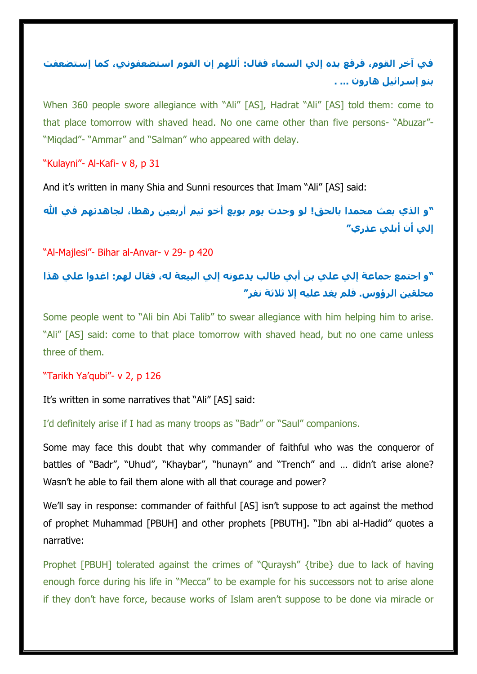## **في آخر القوم، فرفع يده إلي السماء فقال: أللهم إن القوم استضعفوني، كما إستضعفت بنو إسرائيل هارون ... .**

When 360 people swore allegiance with "Ali" [AS], Hadrat "Ali" [AS] told them: come to that place tomorrow with shaved head. No one came other than five persons- "Abuzar"- "Miqdad"- "Ammar" and "Salman" who appeared with delay.

## "Kulayni"- Al-Kafi- v 8, p 31

And it's written in many Shia and Sunni resources that Imam "Ali" [AS] said:

**"و الذي بعث محمدا بالحق! لو وجدت يوم بويع أخو تيم أربعين رهطا، لجاهدتهم في هللا إلي أن أبلي عذري"**

"Al-Majlesi"- Bihar al-Anvar- v 29- p 420

## **"و اجتمع جماعة إلي علي بن أبي طالب يدعونه إلي البيعة له، فقال لهم: اغدوا علي هذا محلقين الرؤوس. فلم يغد عليه إال ثالثة نفر"**

Some people went to "Ali bin Abi Talib" to swear allegiance with him helping him to arise. "Ali" [AS] said: come to that place tomorrow with shaved head, but no one came unless three of them.

### "Tarikh Ya'qubi"- v 2, p 126

It's written in some narratives that "Ali" [AS] said:

I'd definitely arise if I had as many troops as "Badr" or "Saul" companions.

Some may face this doubt that why commander of faithful who was the conqueror of battles of "Badr", "Uhud", "Khaybar", "hunayn" and "Trench" and … didn't arise alone? Wasn't he able to fail them alone with all that courage and power?

We'll say in response: commander of faithful [AS] isn't suppose to act against the method of prophet Muhammad [PBUH] and other prophets [PBUTH]. "Ibn abi al-Hadid" quotes a narrative:

Prophet [PBUH] tolerated against the crimes of "Quraysh" {tribe} due to lack of having enough force during his life in "Mecca" to be example for his successors not to arise alone if they don't have force, because works of Islam aren't suppose to be done via miracle or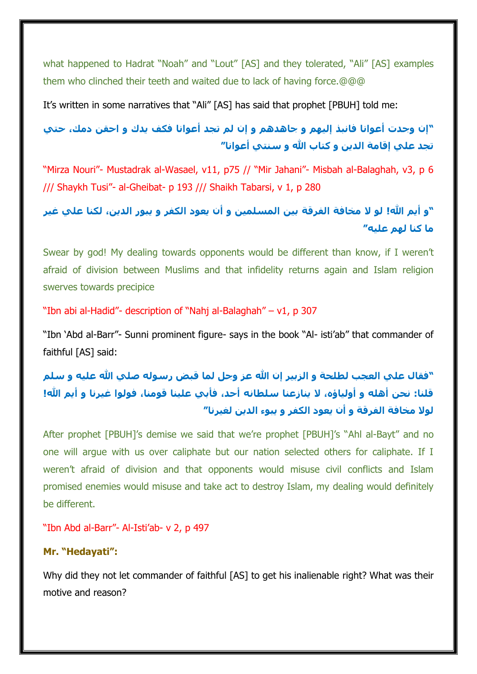what happened to Hadrat "Noah" and "Lout" [AS] and they tolerated, "Ali" [AS] examples them who clinched their teeth and waited due to lack of having force.@@@

It's written in some narratives that "Ali" [AS] has said that prophet [PBUH] told me:

**"إن وجدت أعوانا فانبذ إليهم و جاهدهم و إن لم تجد أعوانا فكف يدك و احقن دمك، حتي تجد علي إقامة الدين و كتاب هللا و سنتي أعوانا"**

"Mirza Nouri"- Mustadrak al-Wasael, v11, p75 // "Mir Jahani"- Misbah al-Balaghah, v3, p 6 /// Shaykh Tusi"- al-Gheibat- p 193 /// Shaikh Tabarsi, v 1, p 280

**"و أيم هللا! لو ال مخافة الفرقة بين المسلمين و أن يعود الكفر و يبور الدين، لكنا علي غير ما كنا لهم عليه"**

Swear by god! My dealing towards opponents would be different than know, if I weren't afraid of division between Muslims and that infidelity returns again and Islam religion swerves towards precipice

"Ibn abi al-Hadid"- description of "Nahj al-Balaghah" – v1, p 307

"Ibn 'Abd al-Barr"- Sunni prominent figure- says in the book "Al- isti'ab" that commander of faithful [AS] said:

**"فقال علي العجب لطلحة و الزبير إن هللا عز وجل لما قبض رسوله صلي هللا عليه و سلم قلنا: نحن أهله و أولياؤه، ال ينازعنا سلطانه أحد، فأبي علينا قومنا، فولوا غيرنا و أيم هللا! لوال مخافة الفرقة و أن يعود الكفر و يبوء الدين لغيرنا"**

After prophet [PBUH]'s demise we said that we're prophet [PBUH]'s "Ahl al-Bayt" and no one will argue with us over caliphate but our nation selected others for caliphate. If I weren't afraid of division and that opponents would misuse civil conflicts and Islam promised enemies would misuse and take act to destroy Islam, my dealing would definitely be different.

"Ibn Abd al-Barr"- Al-Isti'ab- v 2, p 497

#### **Mr. "Hedayati":**

Why did they not let commander of faithful [AS] to get his inalienable right? What was their motive and reason?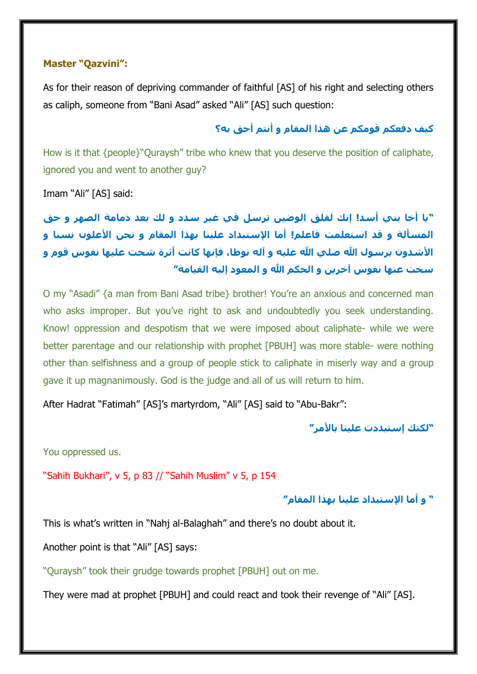#### **Master "Qazvini":**

As for their reason of depriving commander of faithful [AS] of his right and selecting others as caliph, someone from "Bani Asad" asked "Ali" [AS] such question:

## **كيف دفعكم قومكم عن هذا المقام و أنتم أحق به؟**

How is it that {people}"Quraysh" tribe who knew that you deserve the position of caliphate, ignored you and went to another guy?

Imam "Ali" [AS] said:

**"يا أخا بني أسد! إنك لقلق الوضين ترسل في غير سدد و لك بعد ذمامة الصهر و حق المسألة و قد استعلمت فاعلم! أما اإلستبداد علينا بهذا المقام و نحن األعلون نسبا و األشدون برسول هللا صلي هللا عليه و آله نوطا، فإنها كانت أثرة شحت عليها نفوس قوم و سخت عنها نفوس آخرين و الحكم هللا و المعود إليه القيامة"**

O my "Asadi" {a man from Bani Asad tribe} brother! You're an anxious and concerned man who asks improper. But you've right to ask and undoubtedly you seek understanding. Know! oppression and despotism that we were imposed about caliphate- while we were better parentage and our relationship with prophet [PBUH] was more stable- were nothing other than selfishness and a group of people stick to caliphate in miserly way and a group gave it up magnanimously. God is the judge and all of us will return to him.

After Hadrat "Fatimah" [AS]'s martyrdom, "Ali" [AS] said to "Abu-Bakr":

**"لكنك إستبددت علينا باألمر"**

You oppressed us.

"Sahih Bukhari", v 5, p 83 // "Sahih Muslim" v 5, p 154

**" و أما اإلستبداد علينا بهذا المقام"**

This is what's written in "Nahj al-Balaghah" and there's no doubt about it.

Another point is that "Ali" [AS] says:

"Quraysh" took their grudge towards prophet [PBUH] out on me.

They were mad at prophet [PBUH] and could react and took their revenge of "Ali" [AS].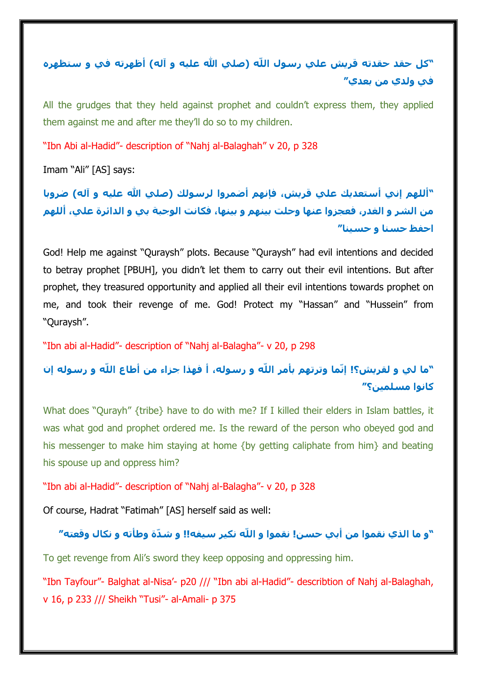## **"كل حقد حقدته قريش علي رسول اللّه )صلي هللا عليه و آله( أظهرته في و ستظهره في ولدي من بعدي"**

All the grudges that they held against prophet and couldn't express them, they applied them against me and after me they'll do so to my children.

"Ibn Abi al-Hadid"- description of "Nahj al-Balaghah" v 20, p 328

Imam "Ali" [AS] says:

**"أللهم إني أستعديك علي قريش، فإنهم أضمروا لرسولك )صلي هللا عليه و آله( ضروبا من الشر و الغدر، فعجزوا عنها وحلت بينهم و بينها، فكانت الوجبة بي و الدائرة علي، أللهم احفظ حسنا و حسينا"**

God! Help me against "Quraysh" plots. Because "Quraysh" had evil intentions and decided to betray prophet [PBUH], you didn't let them to carry out their evil intentions. But after prophet, they treasured opportunity and applied all their evil intentions towards prophet on me, and took their revenge of me. God! Protect my "Hassan" and "Hussein" from "Quraysh".

"Ibn abi al-Hadid"- description of "Nahj al-Balagha"- v 20, p 298

## **"ما لي و لقريش؟! إنّما وترتهم بأمر اللّه و رسوله، أ فهذا جزاء من أطاع اللّه و رسوله إن كانوا مسلمين؟"**

What does "Qurayh" {tribe} have to do with me? If I killed their elders in Islam battles, it was what god and prophet ordered me. Is the reward of the person who obeyed god and his messenger to make him staying at home {by getting caliphate from him} and beating his spouse up and oppress him?

"Ibn abi al-Hadid"- description of "Nahj al-Balagha"- v 20, p 328

Of course, Hadrat "Fatimah" [AS] herself said as well:

## **"و ما الذي نقموا من أبي حسن! نقموا و اللّه نكير سيفه!! و ش ّدة وطأته و نكال وقعته"**

To get revenge from Ali's sword they keep opposing and oppressing him.

"Ibn Tayfour"- Balghat al-Nisa'- p20 /// "Ibn abi al-Hadid"- describtion of Nahj al-Balaghah, v 16, p 233 /// Sheikh "Tusi"- al-Amali- p 375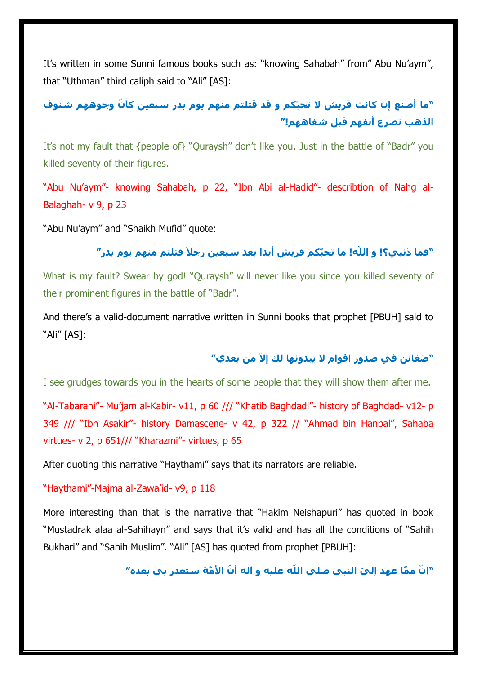It's written in some Sunni famous books such as: "knowing Sahabah" from" Abu Nu'aym", that "Uthman" third caliph said to "Ali" [AS]:

**ّكم و قد قتلتم منهم يوم بدر سبعين كأ ّن وجوههم شنوف "ما أصنع إن كانت قريش ال تحب الذهب تصرع أنفهم قبل شفاههم!"**

It's not my fault that {people of} "Quraysh" don't like you. Just in the battle of "Badr" you killed seventy of their figures.

"Abu Nu'aym"- knowing Sahabah, p 22, "Ibn Abi al-Hadid"- describtion of Nahg al-Balaghah- v 9, p 23

"Abu Nu'aym" and "Shaikh Mufid" quote:

## **ّكم قريش أبدا بعد سبعين رجالً قتلتم منهم يوم بدر" "فما ذنبي؟! و اللّه! ما تحب**

What is my fault? Swear by god! "Quraysh" will never like you since you killed seventy of their prominent figures in the battle of "Badr".

And there's a valid-document narrative written in Sunni books that prophet [PBUH] said to "Ali" [AS]:

## **"ضغائن في صدور اقوام ال يبدونها لك إالّ من بعدي"**

I see grudges towards you in the hearts of some people that they will show them after me.

"Al-Tabarani"- Mu'jam al-Kabir- v11, p 60 /// "Khatib Baghdadi"- history of Baghdad- v12- p 349 /// "Ibn Asakir"- history Damascene- v 42, p 322 // "Ahmad bin Hanbal", Sahaba virtues- v 2, p 651/// "Kharazmi"- virtues, p 65

After quoting this narrative "Haythami" says that its narrators are reliable.

"Haythami"-Majma al-Zawa'id- v9, p 118

More interesting than that is the narrative that "Hakim Neishapuri" has quoted in book "Mustadrak alaa al-Sahihayn" and says that it's valid and has all the conditions of "Sahih Bukhari" and "Sahih Muslim". "Ali" [AS] has quoted from prophet [PBUH]:

"إنّ ممّا عهد إليّ النبي صلي الله عليه و آله أنّ الأمّة ستغدر بي بعده″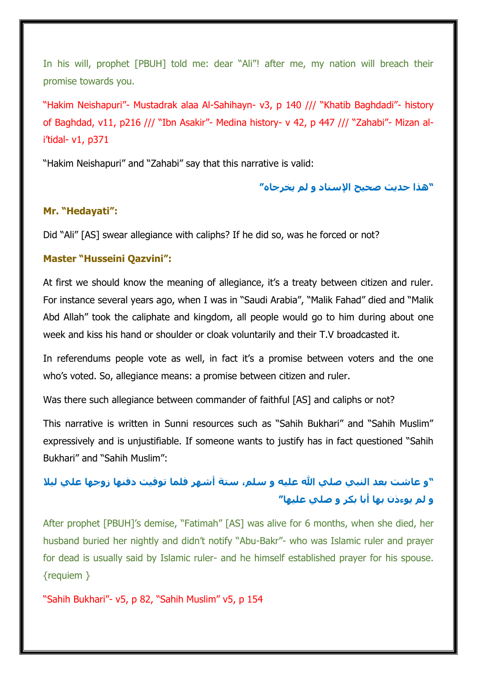In his will, prophet [PBUH] told me: dear "Ali"! after me, my nation will breach their promise towards you.

"Hakim Neishapuri"- Mustadrak alaa Al-Sahihayn- v3, p 140 /// "Khatib Baghdadi"- history of Baghdad, v11, p216 /// "Ibn Asakir"- Medina history- v 42, p 447 /// "Zahabi"- Mizan ali'tidal- v1, p371

"Hakim Neishapuri" and "Zahabi" say that this narrative is valid:

**"هذا حديث صحيح اإلسناد و لم يخرجاه"**

### **Mr. "Hedayati":**

Did "Ali" [AS] swear allegiance with caliphs? If he did so, was he forced or not?

### **Master "Husseini Qazvini":**

At first we should know the meaning of allegiance, it's a treaty between citizen and ruler. For instance several years ago, when I was in "Saudi Arabia", "Malik Fahad" died and "Malik Abd Allah" took the caliphate and kingdom, all people would go to him during about one week and kiss his hand or shoulder or cloak voluntarily and their T.V broadcasted it.

In referendums people vote as well, in fact it's a promise between voters and the one who's voted. So, allegiance means: a promise between citizen and ruler.

Was there such allegiance between commander of faithful [AS] and caliphs or not?

This narrative is written in Sunni resources such as "Sahih Bukhari" and "Sahih Muslim" expressively and is unjustifiable. If someone wants to justify has in fact questioned "Sahih Bukhari" and "Sahih Muslim":

## **"و عاشت بعد النبي صلي هللا عليه و سلم، ستة أشهر فلما توفيت دفنها زوجها علي ليال و لم يوءذن بها أبا بكر و صلي عليها"**

After prophet [PBUH]'s demise, "Fatimah" [AS] was alive for 6 months, when she died, her husband buried her nightly and didn't notify "Abu-Bakr"- who was Islamic ruler and prayer for dead is usually said by Islamic ruler- and he himself established prayer for his spouse. {requiem }

"Sahih Bukhari"- v5, p 82, "Sahih Muslim" v5, p 154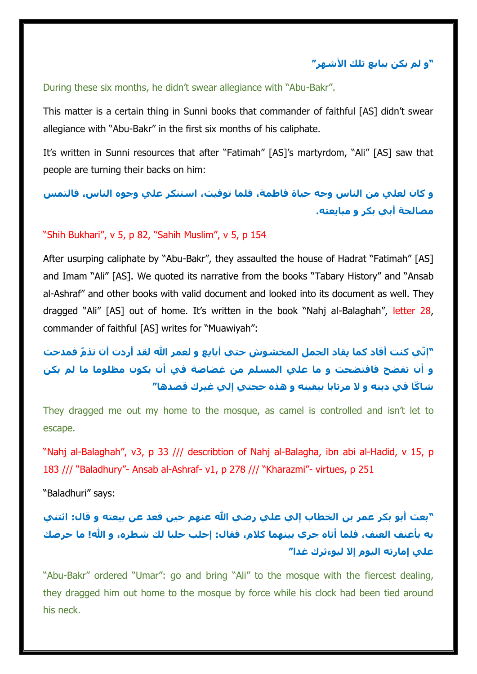**"و لم يكن يبايع تلك األشهر"**

#### During these six months, he didn't swear allegiance with "Abu-Bakr".

This matter is a certain thing in Sunni books that commander of faithful [AS] didn't swear allegiance with "Abu-Bakr" in the first six months of his caliphate.

It's written in Sunni resources that after "Fatimah" [AS]'s martyrdom, "Ali" [AS] saw that people are turning their backs on him:

**و كان لعلي من الناس وجه حياة فاطمة، فلما توفيت، استنكر علي وجوه الناس، فالتمس مصالحة أبي بكر و مبايعته.**

#### "Shih Bukhari", v 5, p 82, "Sahih Muslim", v 5, p 154

After usurping caliphate by "Abu-Bakr", they assaulted the house of Hadrat "Fatimah" [AS] and Imam "Ali" [AS]. We quoted its narrative from the books "Tabary History" and "Ansab al-Ashraf" and other books with valid document and looked into its document as well. They dragged "Ali" [AS] out of home. It's written in the book "Nahj al-Balaghah", letter 28, commander of faithful [AS] writes for "Muawiyah":

# **"إنّي كنت أقاد كما يقاد الجمل المخشوش حتي أبايع و لعمر هللا لقد أردت أن تذ ّم فمدحت و أن تفضح فافتضحت و ما علي المسلم من غضاضة في أن يكون مظلوما ما لم يكن شاكّا في دينه و ال مرتابا بيقينه و هذه حجتي إلي غيرك قصدها"**

They dragged me out my home to the mosque, as camel is controlled and isn't let to escape.

"Nahj al-Balaghah", v3, p 33 /// describtion of Nahj al-Balagha, ibn abi al-Hadid, v 15, p 183 /// "Baladhury"- Ansab al-Ashraf- v1, p 278 /// "Kharazmi"- virtues, p 251

"Baladhuri" says:

# **"بعث أبو بكر عمر بن الخطاب إلي علي رضي هللا عنهم حين قعد عن بيعته و قال: ائتني به بأعنف العنف، فلما أتاه جري بينهما كالم، فقال: إحلب حلبا لك شطره، و هللا! ما حرصك علي إمارته اليوم إال ليوءثرك غدا"**

"Abu-Bakr" ordered "Umar": go and bring "Ali" to the mosque with the fiercest dealing, they dragged him out home to the mosque by force while his clock had been tied around his neck.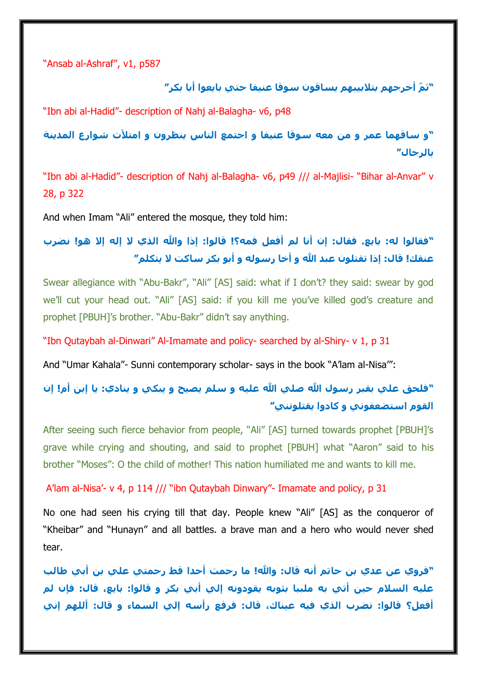"Ansab al-Ashraf", v1, p587

**"ث ّم أخرجهم بتالبيبهم يساقون سوقا عنيفا حتي بايعوا أبا بكر"**

"Ibn abi al-Hadid"- description of Nahj al-Balagha- v6, p48

**"و ساقهما عمر و من معه سوقا عنيفا و اجتمع الناس ينظرون و امتألت شوارع المدينة بالرجال"**

"Ibn abi al-Hadid"- description of Nahj al-Balagha- v6, p49 /// al-Majlisi- "Bihar al-Anvar" v 28, p 322

And when Imam "Ali" entered the mosque, they told him:

**"فقالوا له: بايع. فقال: إن أنا لم أفعل فمه؟! قالوا: إذا وهللا الذي ال إله إال هو! نضرب عنقك! قال: إذا تقتلون عبد هللا و أخا رسوله و أبو بكر ساكت ال يتكلم"**

Swear allegiance with "Abu-Bakr", "Ali" [AS] said: what if I don't? they said: swear by god we'll cut your head out. "Ali" [AS] said: if you kill me you've killed god's creature and prophet [PBUH]'s brother. "Abu-Bakr" didn't say anything.

"Ibn Qutaybah al-Dinwari" Al-Imamate and policy- searched by al-Shiry- v 1, p 31

And "Umar Kahala"- Sunni contemporary scholar- says in the book "A'lam al-Nisa'":

# **"فلحق علي بقبر رسول هللا صلي هللا عليه و سلم يصيح و يبكي و ينادي: يا إبن أم! إن القوم استضعفوني و كادوا يقتلونني"**

After seeing such fierce behavior from people, "Ali" [AS] turned towards prophet [PBUH]'s grave while crying and shouting, and said to prophet [PBUH] what "Aaron" said to his brother "Moses": O the child of mother! This nation humiliated me and wants to kill me.

A'lam al-Nisa'- v 4, p 114 /// "ibn Qutaybah Dinwary"- Imamate and policy, p 31

No one had seen his crying till that day. People knew "Ali" [AS] as the conqueror of "Kheibar" and "Hunayn" and all battles. a brave man and a hero who would never shed tear.

**"فروي عن عدي بن حاتم أنه قال: وهللا! ما رحمت أحدا قط رحمتي علي بن أبي طالب عليه السالم حين أتي به ملببا بثوبه يقودونه إلي أبي بكر و قالوا: بايع، قال: فإن لم أفعل؟ قالوا: نضرب الذي فيه عيناك، قال: فرفع رأسه إلي السماء و قال: أللهم إني**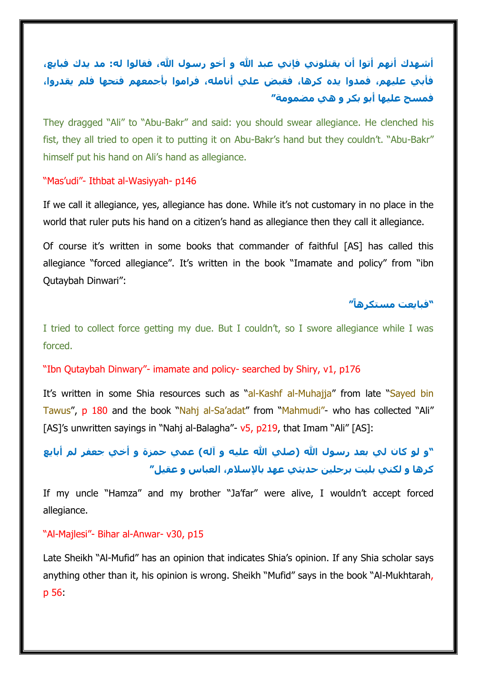# **أشهدك أنهم أتوا أن يقتلوني فإني عبد هللا و أخو رسول هللا، فقالوا له: مد يدك فبايع، فأبي عليهم، فمدوا يده كرها، فقبض علي أنامله، فراموا بأجمعهم فتحها فلم يقدروا، فمسح عليها أبو بكر و هي مضمومة"**

They dragged "Ali" to "Abu-Bakr" and said: you should swear allegiance. He clenched his fist, they all tried to open it to putting it on Abu-Bakr's hand but they couldn't. "Abu-Bakr" himself put his hand on Ali's hand as allegiance.

### "Mas'udi"- Ithbat al-Wasiyyah- p146

If we call it allegiance, yes, allegiance has done. While it's not customary in no place in the world that ruler puts his hand on a citizen's hand as allegiance then they call it allegiance.

Of course it's written in some books that commander of faithful [AS] has called this allegiance "forced allegiance". It's written in the book "Imamate and policy" from "ibn Qutaybah Dinwari":

### **"فبايعت مستكرهاً"**

I tried to collect force getting my due. But I couldn't, so I swore allegiance while I was forced.

### "Ibn Qutaybah Dinwary"- imamate and policy- searched by Shiry, v1, p176

It's written in some Shia resources such as "al-Kashf al-Muhajja" from late "Sayed bin Tawus", p 180 and the book "Nahj al-Sa'adat" from "Mahmudi"- who has collected "Ali" [AS]'s unwritten sayings in "Nahj al-Balagha"- v5, p219, that Imam "Ali" [AS]:

## **"و لو كان لي بعد رسول هللا )صلي هللا عليه و آله( عمي حمزة و أخي جعفر لم أبايع كرها و لكني بليت برجلين حديثي عهد باإلسالم، العباس و عقيل"**

If my uncle "Hamza" and my brother "Ja'far" were alive, I wouldn't accept forced allegiance.

### "Al-Majlesi"- Bihar al-Anwar- v30, p15

Late Sheikh "Al-Mufid" has an opinion that indicates Shia's opinion. If any Shia scholar says anything other than it, his opinion is wrong. Sheikh "Mufid" says in the book "Al-Mukhtarah, p 56: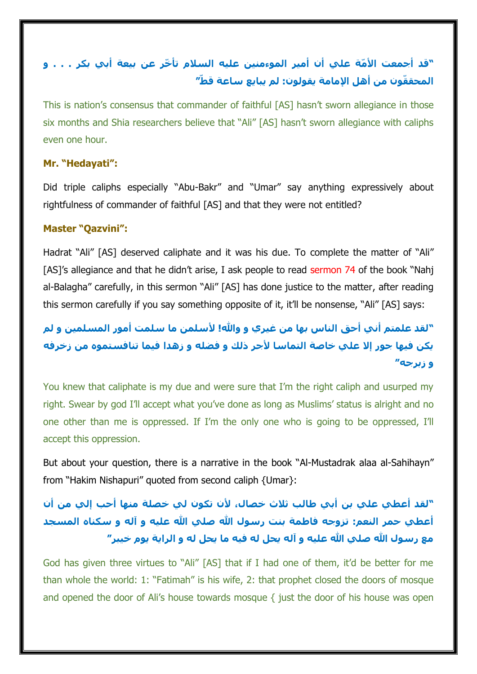# **"قد أجمعت األ ّمة علي أن أمير الموءمنين عليه السالم تأ ّخر عن بيعة أبي بكر . . . و المحق ّقون من أهل اإلمامة يقولون: لم يبايع ساعة قطّ"**

This is nation's consensus that commander of faithful [AS] hasn't sworn allegiance in those six months and Shia researchers believe that "Ali" [AS] hasn't sworn allegiance with caliphs even one hour.

## **Mr. "Hedayati":**

Did triple caliphs especially "Abu-Bakr" and "Umar" say anything expressively about rightfulness of commander of faithful [AS] and that they were not entitled?

### **Master "Qazvini":**

Hadrat "Ali" [AS] deserved caliphate and it was his due. To complete the matter of "Ali" [AS]'s allegiance and that he didn't arise, I ask people to read sermon 74 of the book "Nahj al-Balagha" carefully, in this sermon "Ali" [AS] has done justice to the matter, after reading this sermon carefully if you say something opposite of it, it'll be nonsense, "Ali" [AS] says:

# **"لقد علمتم أني أحق الناس بها من غيري و وهللا! ألسلمن ما سلمت أمور المسلمين و لم يكن فيها جور إال علي خاصة التماسا ألجر ذلك و فضله و زهدا فيما تنافستموه من زخرفه و زبرجه"**

You knew that caliphate is my due and were sure that I'm the right caliph and usurped my right. Swear by god I'll accept what you've done as long as Muslims' status is alright and no one other than me is oppressed. If I'm the only one who is going to be oppressed, I'll accept this oppression.

But about your question, there is a narrative in the book "Al-Mustadrak alaa al-Sahihayn" from "Hakim Nishapuri" quoted from second caliph {Umar}:

# **"لقد أعطي علي بن أبي طالب ثالث خصال، ألن تكون لي خصلة منها أحب إلي من أن أعطي حمر النعم: تزوجه فاطمة بنت رسول هللا صلي هللا عليه و آله و سكناه المسجد مع رسول هللا صلي هللا عليه و آله يحل له فيه ما يحل له و الراية يوم خيبر"**

God has given three virtues to "Ali" [AS] that if I had one of them, it'd be better for me than whole the world: 1: "Fatimah" is his wife, 2: that prophet closed the doors of mosque and opened the door of Ali's house towards mosque { just the door of his house was open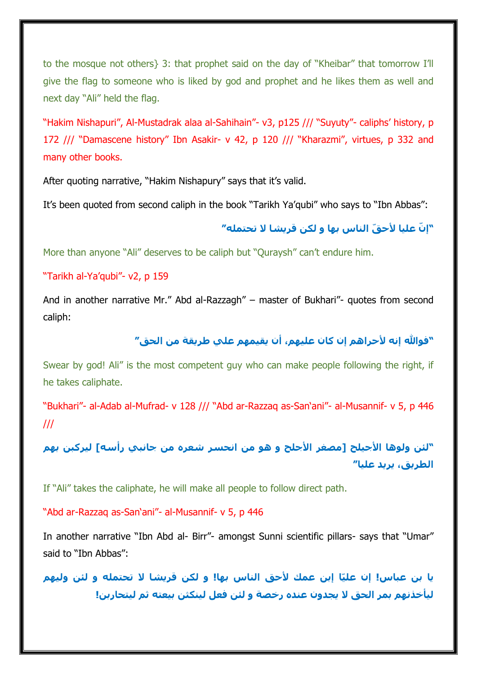to the mosque not others} 3: that prophet said on the day of "Kheibar" that tomorrow I'll give the flag to someone who is liked by god and prophet and he likes them as well and next day "Ali" held the flag.

"Hakim Nishapuri", Al-Mustadrak alaa al-Sahihain"- v3, p125 /// "Suyuty"- caliphs' history, p 172 /// "Damascene history" Ibn Asakir- v 42, p 120 /// "Kharazmi", virtues, p 332 and many other books.

After quoting narrative, "Hakim Nishapury" says that it's valid.

It's been quoted from second caliph in the book "Tarikh Ya'qubi" who says to "Ibn Abbas":

## **"إ ّن عليا ألح ّق الناس بها و لكن قريشا ال تحتمله"**

More than anyone "Ali" deserves to be caliph but "Quraysh" can't endure him.

### "Tarikh al-Ya'qubi"- v2, p 159

And in another narrative Mr." Abd al-Razzagh" – master of Bukhari"- quotes from second caliph:

## **"فوهللا إنه ألحراهم إن كان عليهم، أن يقيمهم علي طريقة من الحق"**

Swear by god! Ali" is the most competent guy who can make people following the right, if he takes caliphate.

"Bukhari"- al-Adab al-Mufrad- v 128 /// "Abd ar-Razzaq as-San'ani"- al-Musannif- v 5, p 446 ///

**"لئن ولوها األجيلح ]مصغر األجلح و هو من انحسر شعره من جانبي رأسه[ ليركبن بهم الطريق، يريد عليا"**

If "Ali" takes the caliphate, he will make all people to follow direct path.

"Abd ar-Razzaq as-San'ani"- al-Musannif- v 5, p 446

In another narrative "Ibn Abd al- Birr"- amongst Sunni scientific pillars- says that "Umar" said to "Ibn Abbas":

**ّا إبن عمك ألحق الناس بها! و لكن قريشا ال تحتمله و لئن وليهم يا بن عباس! إن علي ليأخذنهم بمر الحق ال يجدون عنده رخصة و لئن فعل لينكثن بيعته ثم ليتحاربن!**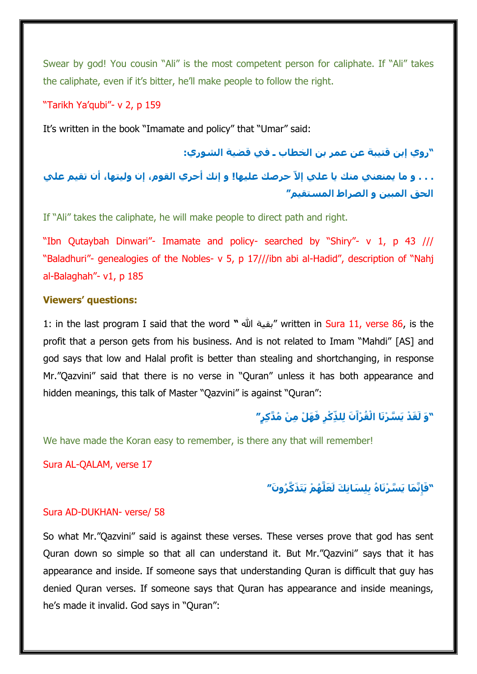Swear by god! You cousin "Ali" is the most competent person for caliphate. If "Ali" takes the caliphate, even if it's bitter, he'll make people to follow the right.

"Tarikh Ya'qubi"- v 2, p 159

It's written in the book "Imamate and policy" that "Umar" said:

**"روي إبن قتيبة عن عمر بن الخطاب ـ في قضية الشوري:**

. . . و ما يمنعني منك يا علي إلاَّ حرصك عليها! و إنك أحري القوم، إن وليتها، أن تقيم علي **الحق المبين و الصراط المستقيم"**

If "Ali" takes the caliphate, he will make people to direct path and right.

"Ibn Qutaybah Dinwari"- Imamate and policy- searched by "Shiry"- v 1, p 43 /// "Baladhuri"- genealogies of the Nobles- v 5, p 17///ibn abi al-Hadid", description of "Nahj al-Balaghah"- v1, p 185

#### **Viewers' questions:**

1: in the last program I said that the word **"** هللا بقية "written in Sura 11, verse 86, is the profit that a person gets from his business. And is not related to Imam "Mahdi" [AS] and god says that low and Halal profit is better than stealing and shortchanging, in response Mr."Qazvini" said that there is no verse in "Quran" unless it has both appearance and hidden meanings, this talk of Master "Qazvini" is against "Quran":

## "وَ لَقَدْ يَسَّرْنَا الْقُرْآَنَ لِلذِّكْرِ فَهَلْ مِنْ مُدَّكِرٍ″

We have made the Koran easy to remember, is there any that will remember!

Sura AL-QALAM, verse 17

## **ُه ْم يََت َذ َّك ُرو َن" ِنَّ َما يَ َّس ْرنَا ُه بِلِ َسانِ َك لَ َعلَّ " َفإ**

#### Sura AD-DUKHAN- verse/ 58

So what Mr."Qazvini" said is against these verses. These verses prove that god has sent Quran down so simple so that all can understand it. But Mr."Qazvini" says that it has appearance and inside. If someone says that understanding Quran is difficult that guy has denied Quran verses. If someone says that Quran has appearance and inside meanings, he's made it invalid. God says in "Quran":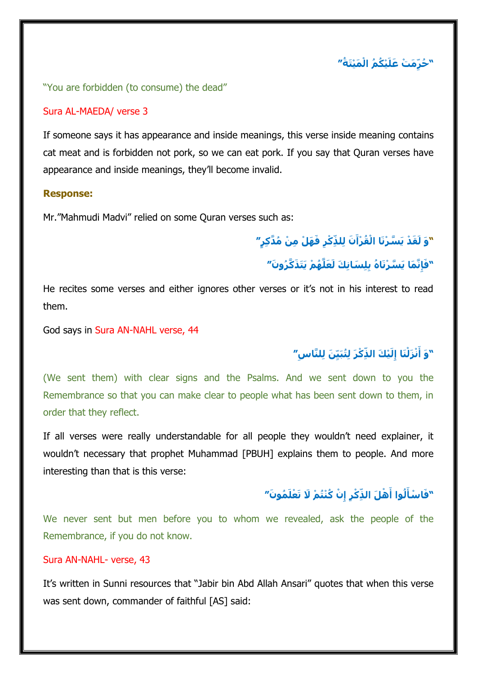**ْي ُك ُم اْل َم ْيَت ُة" " ُح ِرّ َم ْت َعلَ**

"You are forbidden (to consume) the dead"

#### Sura AL-MAEDA/ verse 3

If someone says it has appearance and inside meanings, this verse inside meaning contains cat meat and is forbidden not pork, so we can eat pork. If you say that Quran verses have appearance and inside meanings, they'll become invalid.

#### **Response:**

Mr."Mahmudi Madvi" relied on some Quran verses such as:

# "وَ لَقَدْ يَسَّرْنَا الْقُرْآَنَ لِلذِّكْرِ فَهَلْ مِنْ مُدَّكِرٍ″

## **ُه ْم يََت َذ َّك ُرو َن" ِنَّ َما يَ َّس ْرنَا ُه بِلِ َسانِ َك لَ َعلَّ " َفإ**

He recites some verses and either ignores other verses or it's not in his interest to read them.

God says in Sura AN-NAHL verse, 44

## **ِس ْي َك ال ِّذ ْك َر لُِتبَيِّ َن لِلَّنا ِلَ " ْن َز ْلَنا إ َو أ " َ**

(We sent them) with clear signs and the Psalms. And we sent down to you the Remembrance so that you can make clear to people what has been sent down to them, in order that they reflect.

If all verses were really understandable for all people they wouldn't need explainer, it wouldn't necessary that prophet Muhammad [PBUH] explains them to people. And more interesting than that is this verse:

## "فَاسْأَلُوا أَهْلَ الذِّكْرِ إِنْ كُنْتُمْ لَا تَعْلَمُونَ″

We never sent but men before you to whom we revealed, ask the people of the Remembrance, if you do not know.

### Sura AN-NAHL- verse, 43

It's written in Sunni resources that "Jabir bin Abd Allah Ansari" quotes that when this verse was sent down, commander of faithful [AS] said: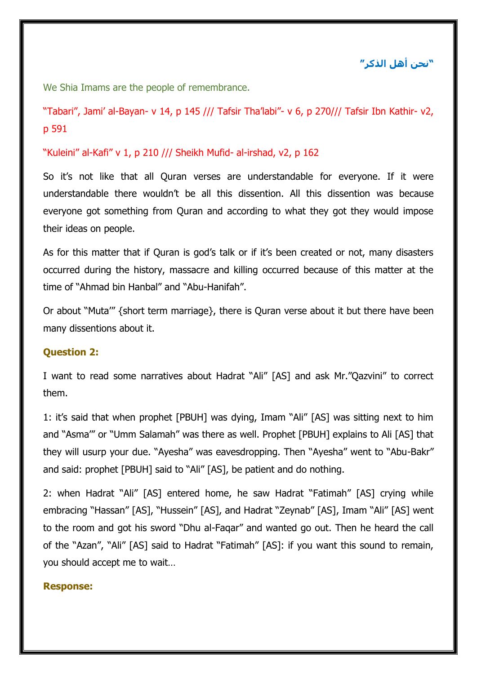## **"نحن أهل الذكر"**

We Shia Imams are the people of remembrance.

"Tabari", Jami' al-Bayan- v 14, p 145 /// Tafsir Tha'labi"- v 6, p 270/// Tafsir Ibn Kathir- v2, p 591

"Kuleini" al-Kafi" v 1, p 210 /// Sheikh Mufid- al-irshad, v2, p 162

So it's not like that all Quran verses are understandable for everyone. If it were understandable there wouldn't be all this dissention. All this dissention was because everyone got something from Quran and according to what they got they would impose their ideas on people.

As for this matter that if Quran is god's talk or if it's been created or not, many disasters occurred during the history, massacre and killing occurred because of this matter at the time of "Ahmad bin Hanbal" and "Abu-Hanifah".

Or about "Muta'" {short term marriage}, there is Quran verse about it but there have been many dissentions about it.

### **Question 2:**

I want to read some narratives about Hadrat "Ali" [AS] and ask Mr."Qazvini" to correct them.

1: it's said that when prophet [PBUH] was dying, Imam "Ali" [AS] was sitting next to him and "Asma'" or "Umm Salamah" was there as well. Prophet [PBUH] explains to Ali [AS] that they will usurp your due. "Ayesha" was eavesdropping. Then "Ayesha" went to "Abu-Bakr" and said: prophet [PBUH] said to "Ali" [AS], be patient and do nothing.

2: when Hadrat "Ali" [AS] entered home, he saw Hadrat "Fatimah" [AS] crying while embracing "Hassan" [AS], "Hussein" [AS], and Hadrat "Zeynab" [AS], Imam "Ali" [AS] went to the room and got his sword "Dhu al-Faqar" and wanted go out. Then he heard the call of the "Azan", "Ali" [AS] said to Hadrat "Fatimah" [AS]: if you want this sound to remain, you should accept me to wait…

#### **Response:**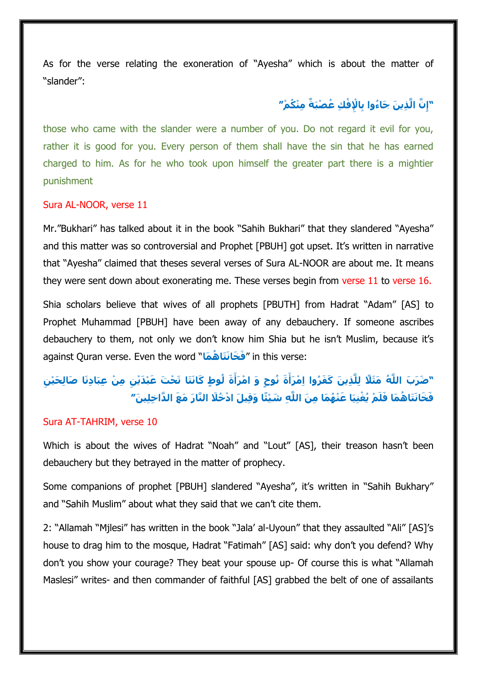As for the verse relating the exoneration of "Ayesha" which is about the matter of "slander":

## **ِإل ْف ِك ُع ْصبَ ٌة ِمْن ُك ْم" َّن الَّ ِذي َن َجاُءوا بِاْ ِ "إ**

those who came with the slander were a number of you. Do not regard it evil for you, rather it is good for you. Every person of them shall have the sin that he has earned charged to him. As for he who took upon himself the greater part there is a mightier punishment

### Sura AL-NOOR, verse 11

Mr."Bukhari" has talked about it in the book "Sahih Bukhari" that they slandered "Ayesha" and this matter was so controversial and Prophet [PBUH] got upset. It's written in narrative that "Ayesha" claimed that theses several verses of Sura AL-NOOR are about me. It means they were sent down about exonerating me. These verses begin from verse 11 to verse 16.

Shia scholars believe that wives of all prophets [PBUTH] from Hadrat "Adam" [AS] to Prophet Muhammad [PBUH] have been away of any debauchery. If someone ascribes debauchery to them, not only we don't know him Shia but he isn't Muslim, because it's against Quran verse. Even the word "**ماَ هُ تاََخانَ فَ** " in this verse:

## "ضَرَبَ اللَّهُ مَثَلًا لِلَّذِينَ كَفَرُوا اِمْرَأَةَ نُوحٍ وَ امْرَأَةَ لُوطٍ كَانَتَا تَحْتَ عَبْدَيْنِ مِنْ عِبَادِنَا صَالِحَيْنِ فَخَانَتَاهُمَا فَلَمْ يُغْنيَا عَنْهُمَا مِنَ اللَّه شَيْئًا وَقَبِلَ ادْخُلَا النَّارَ مَعَ الدَّاخلينَ″

#### Sura AT-TAHRIM, verse 10

Which is about the wives of Hadrat "Noah" and "Lout" [AS], their treason hasn't been debauchery but they betrayed in the matter of prophecy.

Some companions of prophet [PBUH] slandered "Ayesha", it's written in "Sahih Bukhary" and "Sahih Muslim" about what they said that we can't cite them.

2: "Allamah "Mjlesi" has written in the book "Jala' al-Uyoun" that they assaulted "Ali" [AS]'s house to drag him to the mosque, Hadrat "Fatimah" [AS] said: why don't you defend? Why don't you show your courage? They beat your spouse up- Of course this is what "Allamah Maslesi" writes- and then commander of faithful [AS] grabbed the belt of one of assailants